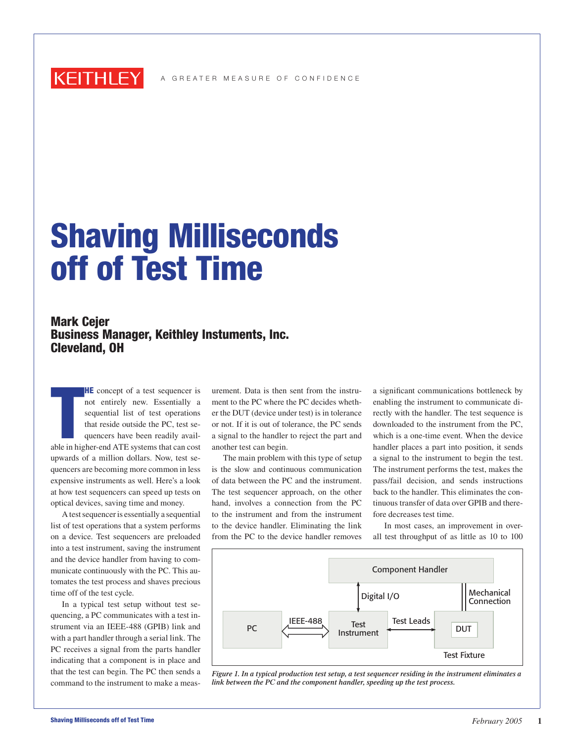

## Shaving Milliseconds off of Test Time

## Mark Cejer Business Manager, Keithley Instuments, Inc. Cleveland, OH

**HE** concept of a test sequencer is<br>not entirely new. Essentially a<br>sequential list of test operations<br>that reside outside the PC, test se-<br>quencers have been readily avail-<br>able in higher-end ATE systems that can cost **HE** concept of a test sequencer is not entirely new. Essentially a sequential list of test operations that reside outside the PC, test sequencers have been readily availupwards of a million dollars. Now, test sequencers are becoming more common in less expensive instruments as well. Here's a look at how test sequencers can speed up tests on optical devices, saving time and money.

A test sequencer is essentially a sequential list of test operations that a system performs on a device. Test sequencers are preloaded into a test instrument, saving the instrument and the device handler from having to communicate continuously with the PC. This automates the test process and shaves precious time off of the test cycle.

In a typical test setup without test sequencing, a PC communicates with a test instrument via an IEEE-488 (GPIB) link and with a part handler through a serial link. The PC receives a signal from the parts handler indicating that a component is in place and that the test can begin. The PC then sends a command to the instrument to make a measurement. Data is then sent from the instrument to the PC where the PC decides whether the DUT (device under test) is in tolerance or not. If it is out of tolerance, the PC sends a signal to the handler to reject the part and another test can begin.

The main problem with this type of setup is the slow and continuous communication of data between the PC and the instrument. The test sequencer approach, on the other hand, involves a connection from the PC to the instrument and from the instrument to the device handler. Eliminating the link from the PC to the device handler removes

a significant communications bottleneck by enabling the instrument to communicate directly with the handler. The test sequence is downloaded to the instrument from the PC, which is a one-time event. When the device handler places a part into position, it sends a signal to the instrument to begin the test. The instrument performs the test, makes the pass/fail decision, and sends instructions back to the handler. This eliminates the continuous transfer of data over GPIB and therefore decreases test time.

In most cases, an improvement in overall test throughput of as little as 10 to 100



*Figure 1. In a typical production test setup, a test sequencer residing in the instrument eliminates a link between the PC and the component handler, speeding up the test process.*